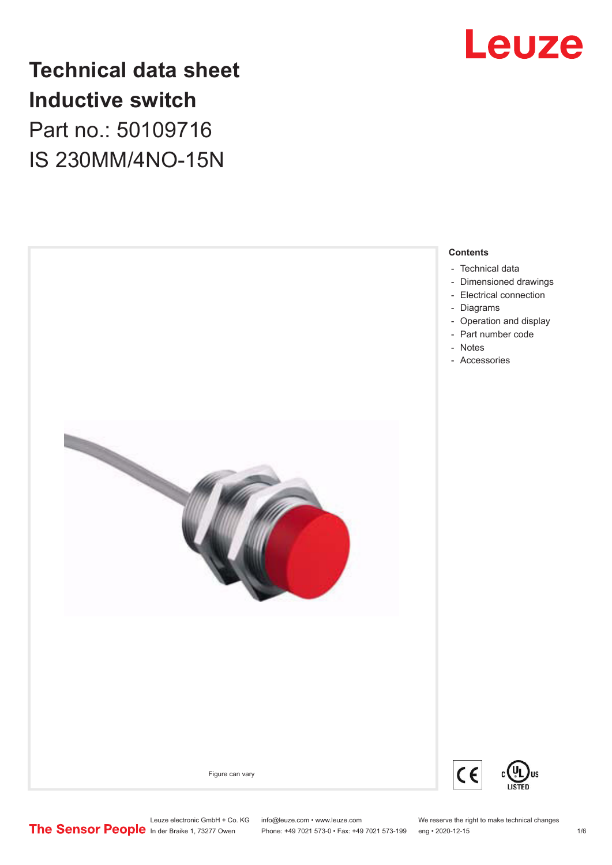

# **Technical data sheet Inductive switch** Part no.: 50109716 IS 230MM/4NO-15N



Leuze electronic GmbH + Co. KG info@leuze.com • www.leuze.com We reserve the right to make technical changes<br>
The Sensor People in der Braike 1, 73277 Owen Phone: +49 7021 573-0 • Fax: +49 7021 573-199 eng • 2020-12-15

Phone: +49 7021 573-0 • Fax: +49 7021 573-199 eng • 2020-12-15 1 70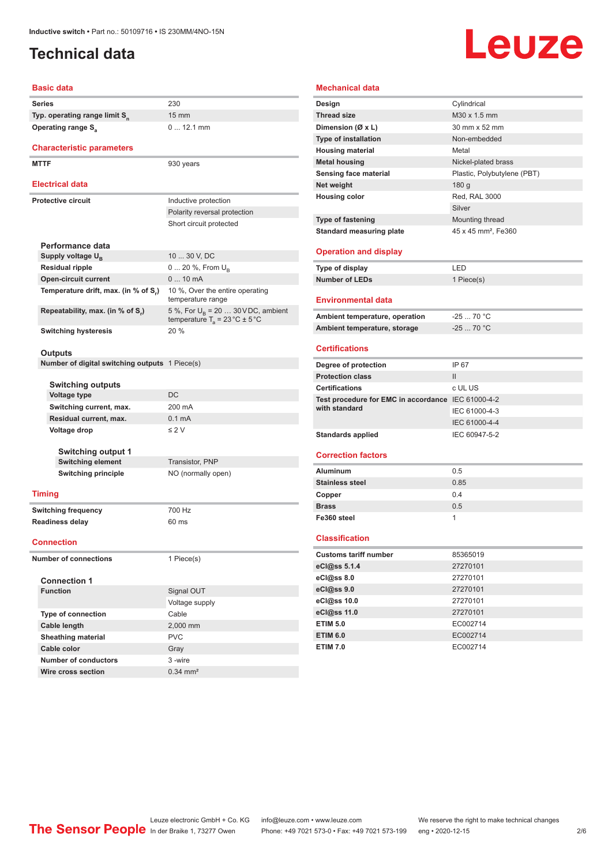# <span id="page-1-0"></span>**Technical data**

# Leuze

# **Basic data**

**Series** 230 **Typ. operating range limit S<sup>n</sup> Operating range S<sub>a</sub>** 

#### **Characteristic parameters**

MTTF 930 years

#### **Electrical data**

| <b>Electrical data</b> |                                      |                                                                                           |  |
|------------------------|--------------------------------------|-------------------------------------------------------------------------------------------|--|
| Protective circuit     |                                      | Inductive protection                                                                      |  |
|                        |                                      | Polarity reversal protection                                                              |  |
|                        |                                      | Short circuit protected                                                                   |  |
|                        | Performance data                     |                                                                                           |  |
|                        | Supply voltage $U_{\rm B}$           | 10  30 V, DC                                                                              |  |
|                        | <b>Residual ripple</b>               | $0 20 \%$ , From $U_{p}$                                                                  |  |
|                        | <b>Open-circuit current</b>          | $010$ mA                                                                                  |  |
|                        | Temperature drift, max. (in % of S.) | 10 %, Over the entire operating<br>temperature range                                      |  |
|                        | Repeatability, max. (in % of S.)     | 5 %, For $U_R$ = 20  30 V DC, ambient<br>temperature $T_a = 23 \degree C \pm 5 \degree C$ |  |
|                        | <b>Switching hysteresis</b>          | 20%                                                                                       |  |
|                        |                                      |                                                                                           |  |

15 mm

0 ... 12.1 mm

#### **Outputs**

**Number of digital switching outputs** 1 Piece(s)

#### **Switching outputs**

| owitching outputs         |                  |
|---------------------------|------------------|
| Voltage type              | DC.              |
| Switching current, max.   | 200 mA           |
| Residual current, max.    | $0.1 \text{ mA}$ |
| Voltage drop              | $\leq$ 2 V       |
| <b>Switching output 1</b> |                  |
|                           |                  |

**Switching element** Transistor, PNP **Switching principle** NO (normally open)

#### **Timing**

**Switching frequency** 700 Hz **Readiness delay** 60 ms

#### **Connection**

**Number of connections** 1 Piece(s)

| <b>Connection 1</b>       |                       |  |  |
|---------------------------|-----------------------|--|--|
| <b>Function</b>           | Signal OUT            |  |  |
|                           | Voltage supply        |  |  |
| <b>Type of connection</b> | Cable                 |  |  |
| Cable length              | 2,000 mm              |  |  |
| <b>Sheathing material</b> | <b>PVC</b>            |  |  |
| Cable color               | Gray                  |  |  |
| Number of conductors      | 3-wire                |  |  |
| Wire cross section        | $0.34 \, \text{mm}^2$ |  |  |

#### **Mechanical data Design** Cylindrical **Thread size** M30 x 1.5 mm **Dimension (Ø x L)** 30 mm x 52 mm **Type of installation** Non-embedded **Housing material Metal Metal housing** Nickel-plated brass **Sensing face material** Plastic, Polybutylene (PBT) **Net weight** 180 g **Housing color** Red, RAL 3000 Silver **Type of fastening** Mounting thread **Standard measuring plate** 45 x 45 mm<sup>2</sup>, Fe360 **Operation and display Type of display** LED **Number of LEDs** 1 Piece(s) **Environmental data** Ambient temperature, operation **-25** ... 70 °C **Ambient temperature, storage** -25 ... 70 °C **Certifications Degree of protection** IP 67 **Protection class** III **Certifications** c UL US **Test procedure for EMC in accordance**  IEC 61000-4-2 **with standard** IEC 61000-4-3 IEC 61000-4-4 Standards applied **IEC 60947-5-2 Correction factors Aluminum** 0.5 **Stainless steel 0.85 Copper** 0.4 **Brass** 0.5 **Fe360 steel** 1

#### **Classification**

| <b>Customs tariff number</b> | 85365019 |
|------------------------------|----------|
| eCl@ss 5.1.4                 | 27270101 |
| eCl@ss 8.0                   | 27270101 |
| eCl@ss 9.0                   | 27270101 |
| eCl@ss 10.0                  | 27270101 |
| eCl@ss 11.0                  | 27270101 |
| <b>ETIM 5.0</b>              | EC002714 |
| <b>ETIM 6.0</b>              | EC002714 |
| <b>ETIM 7.0</b>              | EC002714 |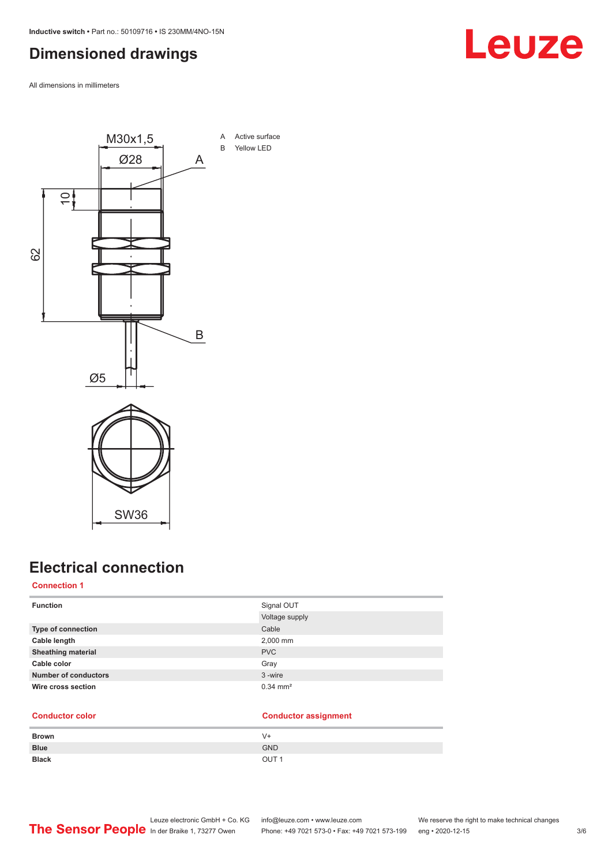# <span id="page-2-0"></span>**Dimensioned drawings**

All dimensions in millimeters



# **Electrical connection**

**Connection 1**

| <b>Function</b>             | Signal OUT<br>Voltage supply |
|-----------------------------|------------------------------|
| Type of connection          | Cable                        |
| Cable length                | 2,000 mm                     |
| <b>Sheathing material</b>   | <b>PVC</b>                   |
| Cable color                 | Gray                         |
| <b>Number of conductors</b> | 3-wire                       |
| Wire cross section          | $0.34 \, \text{mm}^2$        |

### **Conductor color Conductor assignment**

| <b>Brown</b> | V+               |
|--------------|------------------|
| <b>Blue</b>  | <b>GND</b>       |
| <b>Black</b> | OUT <sub>1</sub> |

# Leuze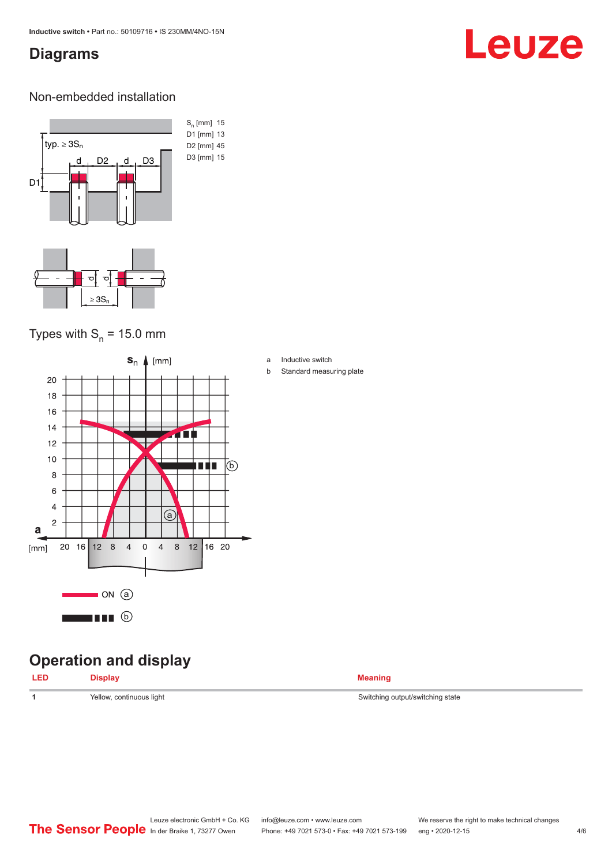### <span id="page-3-0"></span>**Diagrams**

# Leuze

### Non-embedded installation



# Types with  $S_n$  = 15.0 mm



# **Operation and display**

| <b>LED</b> | <b>Display</b> | <b>Meaning</b> |
|------------|----------------|----------------|
|            |                |                |

- a Inductive switch
- b Standard measuring plate

**1** Yellow, continuous light Switching output/switching state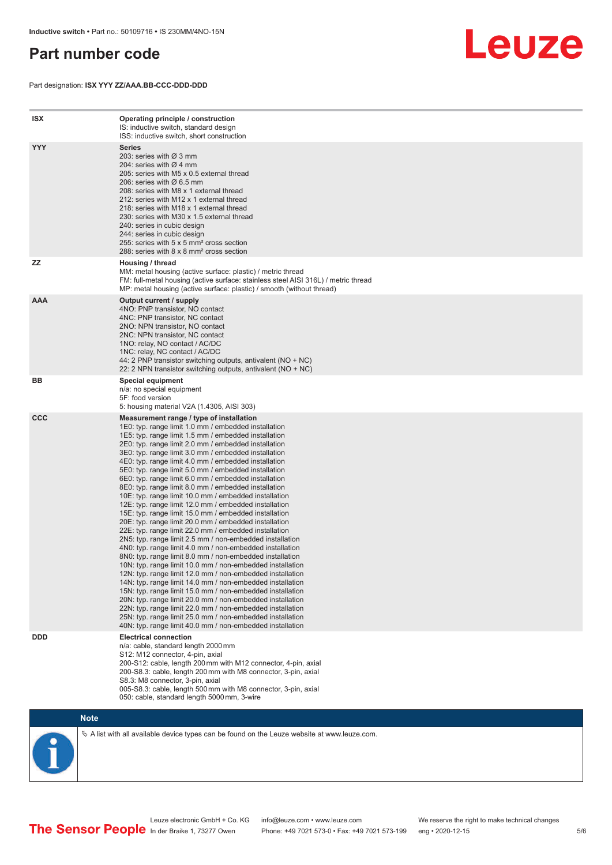## <span id="page-4-0"></span>**Part number code**

Part designation: **ISX YYY ZZ/AAA.BB-CCC-DDD-DDD**



| <b>ISX</b> | Operating principle / construction<br>IS: inductive switch, standard design<br>ISS: inductive switch, short construction                                                                                                                                                                                                                                                                                                                                                                                                                                                                                                                                                                                                                                                                                                                                                                                                                                                                                                                                                                                                                                                                                                                                                                                                                                                                                                                                                                          |
|------------|---------------------------------------------------------------------------------------------------------------------------------------------------------------------------------------------------------------------------------------------------------------------------------------------------------------------------------------------------------------------------------------------------------------------------------------------------------------------------------------------------------------------------------------------------------------------------------------------------------------------------------------------------------------------------------------------------------------------------------------------------------------------------------------------------------------------------------------------------------------------------------------------------------------------------------------------------------------------------------------------------------------------------------------------------------------------------------------------------------------------------------------------------------------------------------------------------------------------------------------------------------------------------------------------------------------------------------------------------------------------------------------------------------------------------------------------------------------------------------------------------|
| <b>YYY</b> | <b>Series</b><br>203: series with Ø 3 mm<br>204: series with $\varnothing$ 4 mm<br>205: series with M5 x 0.5 external thread<br>206: series with $\varnothing$ 6.5 mm<br>208: series with M8 x 1 external thread<br>212: series with M12 x 1 external thread<br>218: series with M18 x 1 external thread<br>230: series with M30 x 1.5 external thread<br>240: series in cubic design<br>244: series in cubic design<br>255: series with 5 x 5 mm <sup>2</sup> cross section<br>288: series with 8 x 8 mm <sup>2</sup> cross section                                                                                                                                                                                                                                                                                                                                                                                                                                                                                                                                                                                                                                                                                                                                                                                                                                                                                                                                                              |
| <b>ZZ</b>  | Housing / thread<br>MM: metal housing (active surface: plastic) / metric thread<br>FM: full-metal housing (active surface: stainless steel AISI 316L) / metric thread<br>MP: metal housing (active surface: plastic) / smooth (without thread)                                                                                                                                                                                                                                                                                                                                                                                                                                                                                                                                                                                                                                                                                                                                                                                                                                                                                                                                                                                                                                                                                                                                                                                                                                                    |
| <b>AAA</b> | Output current / supply<br>4NO: PNP transistor, NO contact<br>4NC: PNP transistor, NC contact<br>2NO: NPN transistor, NO contact<br>2NC: NPN transistor, NC contact<br>1NO: relay, NO contact / AC/DC<br>1NC: relay, NC contact / AC/DC<br>44: 2 PNP transistor switching outputs, antivalent (NO + NC)<br>22: 2 NPN transistor switching outputs, antivalent (NO + NC)                                                                                                                                                                                                                                                                                                                                                                                                                                                                                                                                                                                                                                                                                                                                                                                                                                                                                                                                                                                                                                                                                                                           |
| BB         | Special equipment<br>n/a: no special equipment<br>5F: food version<br>5: housing material V2A (1.4305, AISI 303)                                                                                                                                                                                                                                                                                                                                                                                                                                                                                                                                                                                                                                                                                                                                                                                                                                                                                                                                                                                                                                                                                                                                                                                                                                                                                                                                                                                  |
| <b>CCC</b> | Measurement range / type of installation<br>1E0: typ. range limit 1.0 mm / embedded installation<br>1E5: typ. range limit 1.5 mm / embedded installation<br>2E0: typ. range limit 2.0 mm / embedded installation<br>3E0: typ. range limit 3.0 mm / embedded installation<br>4E0: typ. range limit 4.0 mm / embedded installation<br>5E0: typ. range limit 5.0 mm / embedded installation<br>6E0: typ. range limit 6.0 mm / embedded installation<br>8E0: typ. range limit 8.0 mm / embedded installation<br>10E: typ. range limit 10.0 mm / embedded installation<br>12E: typ. range limit 12.0 mm / embedded installation<br>15E: typ. range limit 15.0 mm / embedded installation<br>20E: typ. range limit 20.0 mm / embedded installation<br>22E: typ. range limit 22.0 mm / embedded installation<br>2N5: typ. range limit 2.5 mm / non-embedded installation<br>4N0: typ. range limit 4.0 mm / non-embedded installation<br>8N0: typ. range limit 8.0 mm / non-embedded installation<br>10N: typ. range limit 10.0 mm / non-embedded installation<br>12N: typ. range limit 12.0 mm / non-embedded installation<br>14N: typ. range limit 14.0 mm / non-embedded installation<br>15N: typ. range limit 15.0 mm / non-embedded installation<br>20N: typ. range limit 20.0 mm / non-embedded installation<br>22N: typ. range limit 22.0 mm / non-embedded installation<br>25N: typ. range limit 25.0 mm / non-embedded installation<br>40N: typ. range limit 40.0 mm / non-embedded installation |
| <b>DDD</b> | <b>Electrical connection</b><br>n/a: cable, standard length 2000 mm<br>S12: M12 connector, 4-pin, axial<br>200-S12: cable, length 200 mm with M12 connector, 4-pin, axial<br>200-S8.3: cable, length 200 mm with M8 connector, 3-pin, axial<br>S8.3: M8 connector, 3-pin, axial<br>005-S8.3: cable, length 500 mm with M8 connector, 3-pin, axial<br>050: cable, standard length 5000 mm, 3-wire                                                                                                                                                                                                                                                                                                                                                                                                                                                                                                                                                                                                                                                                                                                                                                                                                                                                                                                                                                                                                                                                                                  |



 $\%$  A list with all available device types can be found on the Leuze website at www.leuze.com.

Leuze electronic GmbH + Co. KG info@leuze.com • www.leuze.com We reserve the right to make technical changes In der Braike 1, 73277 Owen Phone: +49 7021 573-0 • Fax: +49 7021 573-199 eng • 2020-12-15